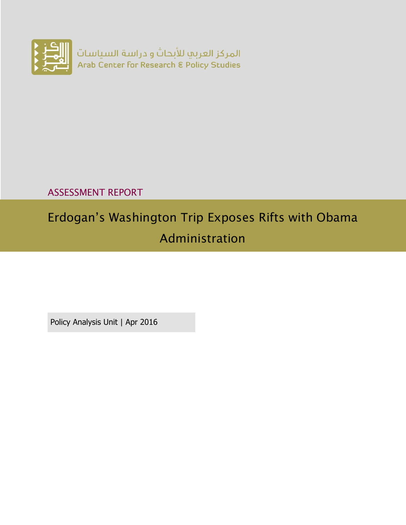

# ASSESSMENT REPORT

# Erdogan's Washington Trip Exposes Rifts with Obama Administration

Policy Analysis Unit | Apr 2016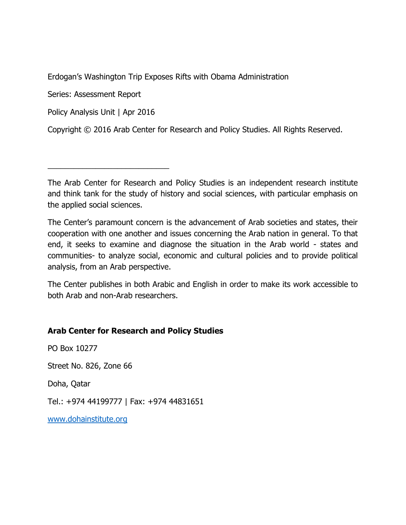Erdogan's Washington Trip Exposes Rifts with Obama Administration

Series: Assessment Report

Policy Analysis Unit | Apr 2016

\_\_\_\_\_\_\_\_\_\_\_\_\_\_\_\_\_\_\_\_\_\_\_\_\_\_\_\_

Copyright © 2016 Arab Center for Research and Policy Studies. All Rights Reserved.

The Arab Center for Research and Policy Studies is an independent research institute and think tank for the study of history and social sciences, with particular emphasis on the applied social sciences.

The Center's paramount concern is the advancement of Arab societies and states, their cooperation with one another and issues concerning the Arab nation in general. To that end, it seeks to examine and diagnose the situation in the Arab world - states and communities- to analyze social, economic and cultural policies and to provide political analysis, from an Arab perspective.

The Center publishes in both Arabic and English in order to make its work accessible to both Arab and non-Arab researchers.

### **Arab Center for Research and Policy Studies**

PO Box 10277 Street No. 826, Zone 66

Doha, Qatar

Tel.: +974 44199777 | Fax: +974 44831651

[www.dohainstitute.org](file:///C:/Users/dena.qaddumi/Desktop/www.dohainstitute.org)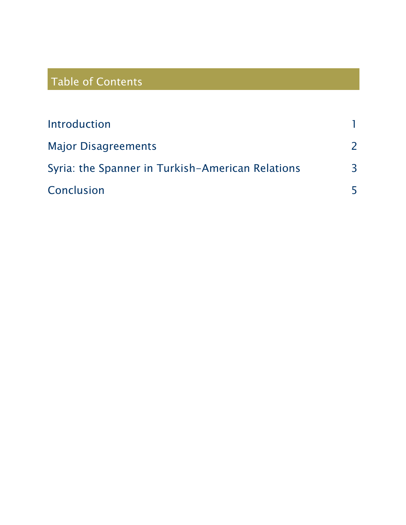# Table of Contents

| Introduction                                     |   |
|--------------------------------------------------|---|
| <b>Major Disagreements</b>                       |   |
| Syria: the Spanner in Turkish-American Relations | 3 |
| Conclusion                                       |   |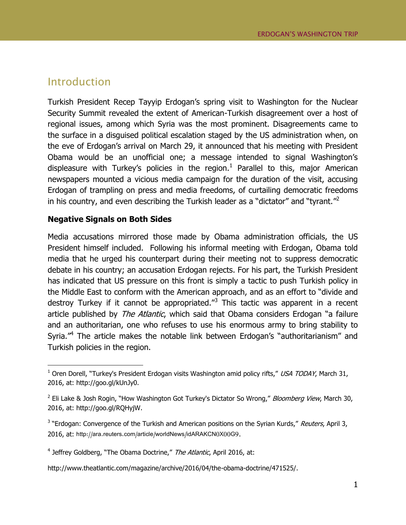### <span id="page-4-0"></span>Introduction

 $\overline{a}$ 

Turkish President Recep Tayyip Erdogan's spring visit to Washington for the Nuclear Security Summit revealed the extent of American-Turkish disagreement over a host of regional issues, among which Syria was the most prominent. Disagreements came to the surface in a disguised political escalation staged by the US administration when, on the eve of Erdogan's arrival on March 29, it announced that his meeting with President Obama would be an unofficial one; a message intended to signal Washington's displeasure with Turkey's policies in the region.<sup>1</sup> Parallel to this, major American newspapers mounted a vicious media campaign for the duration of the visit, accusing Erdogan of trampling on press and media freedoms, of curtailing democratic freedoms in his country, and even describing the Turkish leader as a "dictator" and "tyrant."<sup>2</sup>

#### **Negative Signals on Both Sides**

Media accusations mirrored those made by Obama administration officials, the US President himself included. Following his informal meeting with Erdogan, Obama told media that he urged his counterpart during their meeting not to suppress democratic debate in his country; an accusation Erdogan rejects. For his part, the Turkish President has indicated that US pressure on this front is simply a tactic to push Turkish policy in the Middle East to conform with the American approach, and as an effort to "divide and destroy Turkey if it cannot be appropriated."<sup>3</sup> This tactic was apparent in a recent article published by *The Atlantic*, which said that Obama considers Erdogan "a failure and an authoritarian, one who refuses to use his enormous army to bring stability to Syria."<sup>4</sup> The article makes the notable link between Erdogan's "authoritarianism" and Turkish policies in the region.

<sup>&</sup>lt;sup>1</sup> Oren Dorell, "Turkey's President Erdogan visits Washington amid policy rifts," USA TODAY, March 31, 2016, at: http://goo.gl/kUnJy0.

<sup>&</sup>lt;sup>2</sup> [Eli Lake](http://www.bloombergview.com/contributors/ASD1bG3hdiI/eli-lake) & [Josh Rogin](http://www.bloombergview.com/contributors/ASD1cRZwK6c/josh-rogin), "How Washington Got Turkey's Dictator So Wrong," *Bloomberg View*, March 30, 2016, at: http://goo.gl/RQHyjW.

<sup>&</sup>lt;sup>3</sup> "Erdogan: Convergence of the Turkish and American positions on the Syrian Kurds," Reuters, April 3, 2016, at: http://ara.reuters.com/article/worldNews/idARAKCN0X00G9.

<sup>&</sup>lt;sup>4</sup> Jeffrey Goldberg, "The Obama Doctrine," The Atlantic, April 2016, at:

[http://www.theatlantic.com/magazine/archive/2016/04/the-obama-doctrine/471525/.](http://www.theatlantic.com/magazine/archive/2016/04/the-obama-doctrine/471525/)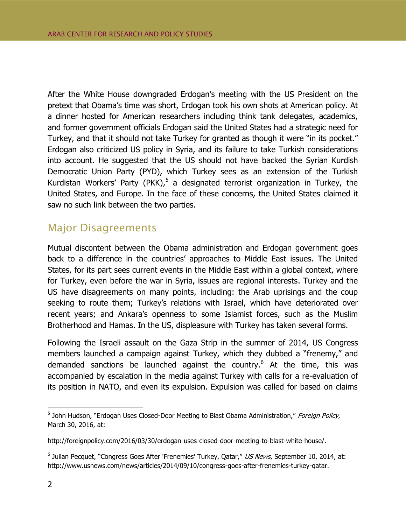After the White House downgraded Erdogan's meeting with the US President on the pretext that Obama's time was short, Erdogan took his own shots at American policy. At a dinner hosted for American researchers including think tank delegates, academics, and former government officials Erdogan said the United States had a strategic need for Turkey, and that it should not take Turkey for granted as though it were "in its pocket." Erdogan also criticized US policy in Syria, and its failure to take Turkish considerations into account. He suggested that the US should not have backed the Syrian Kurdish Democratic Union Party (PYD), which Turkey sees as an extension of the Turkish Kurdistan Workers' Party (PKK),<sup>5</sup> a designated terrorist organization in Turkey, the United States, and Europe. In the face of these concerns, the United States claimed it saw no such link between the two parties.

## <span id="page-5-0"></span>Major Disagreements

Mutual discontent between the Obama administration and Erdogan government goes back to a difference in the countries' approaches to Middle East issues. The United States, for its part sees current events in the Middle East within a global context, where for Turkey, even before the war in Syria, issues are regional interests. Turkey and the US have disagreements on many points, including: the Arab uprisings and the coup seeking to route them; Turkey's relations with Israel, which have deteriorated over recent years; and Ankara's openness to some Islamist forces, such as the Muslim Brotherhood and Hamas. In the US, displeasure with Turkey has taken several forms.

Following the Israeli assault on the Gaza Strip in the summer of 2014, US Congress members launched a campaign against Turkey, which they dubbed a "frenemy," and demanded sanctions be launched against the country.<sup>6</sup> At the time, this was accompanied by escalation in the media against Turkey with calls for a re-evaluation of its position in NATO, and even its expulsion. Expulsion was called for based on claims

 $\overline{a}$ 

<sup>&</sup>lt;sup>5</sup> John Hudson, "Erdogan Uses Closed-Door Meeting to Blast Obama Administration," Foreign Policy, March 30, 2016, at:

[http://foreignpolicy.com/2016/03/30/erdogan-uses-closed-door-meeting-to-blast-white-house/.](http://foreignpolicy.com/2016/03/30/erdogan-uses-closed-door-meeting-to-blast-white-house/)

<sup>&</sup>lt;sup>6</sup> Julian Pecquet, "Congress Goes After 'Frenemies' Turkey, Qatar," US News, September 10, 2014, at: [http://www.usnews.com/news/articles/2014/09/10/congress-goes-after-frenemies-turkey-qatar.](http://www.usnews.com/news/articles/2014/09/10/congress-goes-after-frenemies-turkey-qatar)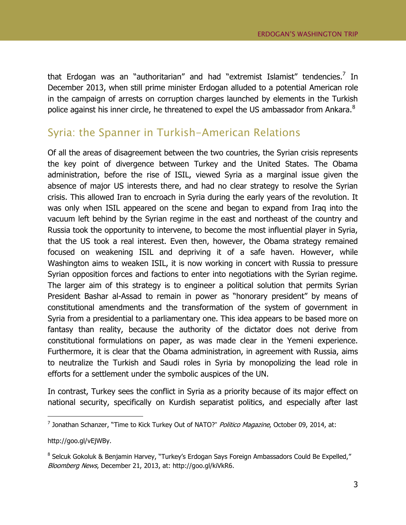that Erdogan was an "authoritarian" and had "extremist Islamist" tendencies.<sup>7</sup> In December 2013, when still prime minister Erdogan alluded to a potential American role in the campaign of arrests on corruption charges launched by elements in the Turkish police against his inner circle, he threatened to expel the US ambassador from Ankara.<sup>8</sup>

# <span id="page-6-0"></span>Syria: the Spanner in Turkish-American Relations

Of all the areas of disagreement between the two countries, the Syrian crisis represents the key point of divergence between Turkey and the United States. The Obama administration, before the rise of ISIL, viewed Syria as a marginal issue given the absence of major US interests there, and had no clear strategy to resolve the Syrian crisis. This allowed Iran to encroach in Syria during the early years of the revolution. It was only when ISIL appeared on the scene and began to expand from Iraq into the vacuum left behind by the Syrian regime in the east and northeast of the country and Russia took the opportunity to intervene, to become the most influential player in Syria, that the US took a real interest. Even then, however, the Obama strategy remained focused on weakening ISIL and depriving it of a safe haven. However, while Washington aims to weaken ISIL, it is now working in concert with Russia to pressure Syrian opposition forces and factions to enter into negotiations with the Syrian regime. The larger aim of this strategy is to engineer a political solution that permits Syrian President Bashar al-Assad to remain in power as "honorary president" by means of constitutional amendments and the transformation of the system of government in Syria from a presidential to a parliamentary one. This idea appears to be based more on fantasy than reality, because the authority of the dictator does not derive from constitutional formulations on paper, as was made clear in the Yemeni experience. Furthermore, it is clear that the Obama administration, in agreement with Russia, aims to neutralize the Turkish and Saudi roles in Syria by monopolizing the lead role in efforts for a settlement under the symbolic auspices of the UN.

In contrast, Turkey sees the conflict in Syria as a priority because of its major effect on national security, specifically on Kurdish separatist politics, and especially after last

 7 Jonathan Schanzer, "Time to Kick Turkey Out of NATO?" Politico Magazine, October 09, 2014, at:

[http://goo.gl/vEjWBy.](http://goo.gl/vEjWBy)

<sup>&</sup>lt;sup>8</sup> Selcuk Gokoluk & Benjamin Harvey, "Turkey's Erdogan Says Foreign Ambassadors Could Be Expelled," Bloomberg News, December 21, 2013, at: [http://goo.gl/kiVkR6.](http://goo.gl/kiVkR6)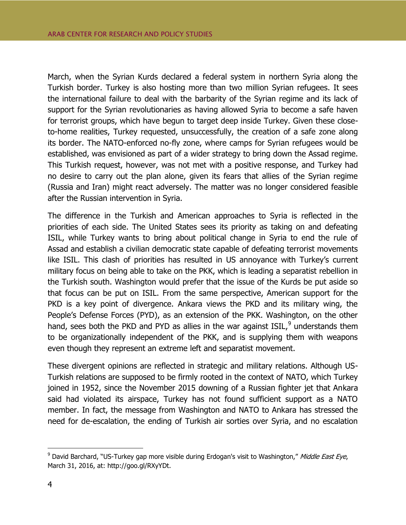March, when the Syrian Kurds declared a federal system in northern Syria along the Turkish border. Turkey is also hosting more than two million Syrian refugees. It sees the international failure to deal with the barbarity of the Syrian regime and its lack of support for the Syrian revolutionaries as having allowed Syria to become a safe haven for terrorist groups, which have begun to target deep inside Turkey. Given these closeto-home realities, Turkey requested, unsuccessfully, the creation of a safe zone along its border. The NATO-enforced no-fly zone, where camps for Syrian refugees would be established, was envisioned as part of a wider strategy to bring down the Assad regime. This Turkish request, however, was not met with a positive response, and Turkey had no desire to carry out the plan alone, given its fears that allies of the Syrian regime (Russia and Iran) might react adversely. The matter was no longer considered feasible after the Russian intervention in Syria.

The difference in the Turkish and American approaches to Syria is reflected in the priorities of each side. The United States sees its priority as taking on and defeating ISIL, while Turkey wants to bring about political change in Syria to end the rule of Assad and establish a civilian democratic state capable of defeating terrorist movements like ISIL. This clash of priorities has resulted in US annoyance with Turkey's current military focus on being able to take on the PKK, which is leading a separatist rebellion in the Turkish south. Washington would prefer that the issue of the Kurds be put aside so that focus can be put on ISIL. From the same perspective, American support for the PKD is a key point of divergence. Ankara views the PKD and its military wing, the People's Defense Forces (PYD), as an extension of the PKK. Washington, on the other hand, sees both the PKD and PYD as allies in the war against ISIL, $^9$  understands them to be organizationally independent of the PKK, and is supplying them with weapons even though they represent an extreme left and separatist movement.

These divergent opinions are reflected in strategic and military relations. Although US-Turkish relations are supposed to be firmly rooted in the context of NATO, which Turkey joined in 1952, since the November 2015 downing of a Russian fighter jet that Ankara said had violated its airspace, Turkey has not found sufficient support as a NATO member. In fact, the message from Washington and NATO to Ankara has stressed the need for de-escalation, the ending of Turkish air sorties over Syria, and no escalation

 $\overline{a}$ 

 $9$  David Barchard, "US-Turkey gap more visible during Erdogan's visit to Washington," Middle East Eye, March 31, 2016, at: [http://goo.gl/RXyYDt.](http://goo.gl/RXyYDt)